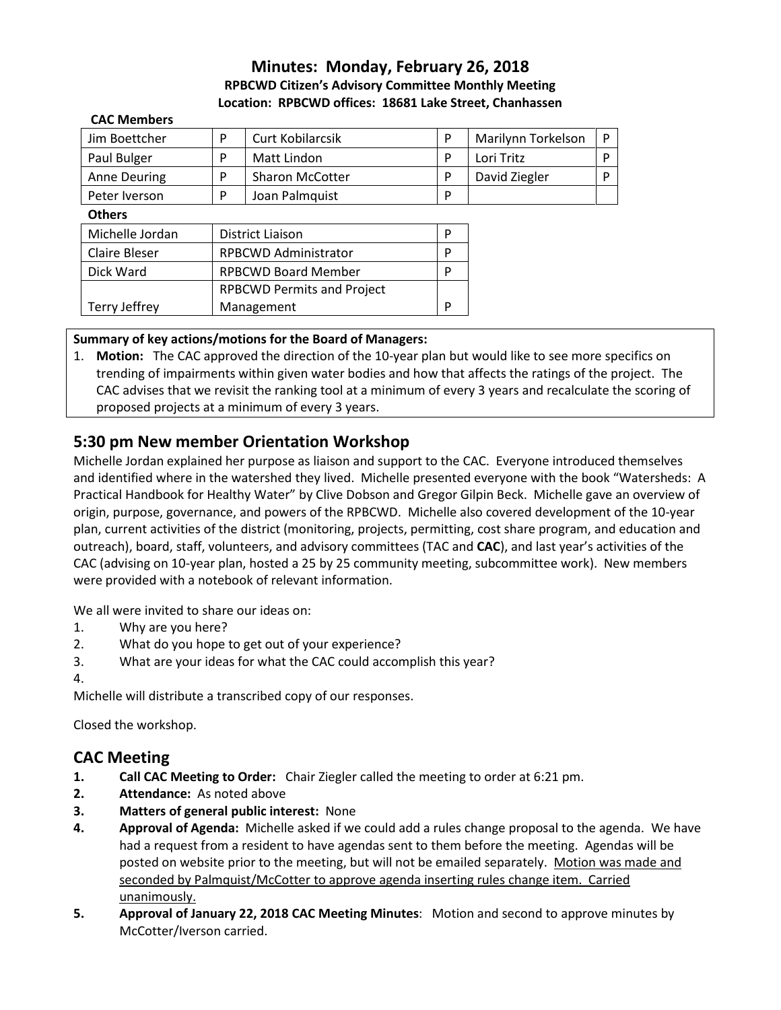## **Minutes: Monday, February 26, 2018 RPBCWD Citizen's Advisory Committee Monthly Meeting Location: RPBCWD offices: 18681 Lake Street, Chanhassen**

| <b>CAC Members</b>   |                                   |                        |   |                    |              |
|----------------------|-----------------------------------|------------------------|---|--------------------|--------------|
| Jim Boettcher        | P                                 | Curt Kobilarcsik       | P | Marilynn Torkelson | $\mathsf{P}$ |
| Paul Bulger          | P                                 | Matt Lindon            | P | Lori Tritz         | P            |
| <b>Anne Deuring</b>  | P                                 | <b>Sharon McCotter</b> | P | David Ziegler      | P            |
| Peter Iverson        | P                                 | Joan Palmquist         | P |                    |              |
| <b>Others</b>        |                                   |                        |   |                    |              |
| Michelle Jordan      | District Liaison                  |                        | P |                    |              |
| Claire Bleser        | <b>RPBCWD Administrator</b>       |                        | P |                    |              |
| Dick Ward            | <b>RPBCWD Board Member</b>        |                        | P |                    |              |
|                      | <b>RPBCWD Permits and Project</b> |                        |   |                    |              |
| <b>Terry Jeffrey</b> | Management                        |                        | P |                    |              |

## **Summary of key actions/motions for the Board of Managers:**

1. **Motion:** The CAC approved the direction of the 10-year plan but would like to see more specifics on trending of impairments within given water bodies and how that affects the ratings of the project. The CAC advises that we revisit the ranking tool at a minimum of every 3 years and recalculate the scoring of proposed projects at a minimum of every 3 years.

# **5:30 pm New member Orientation Workshop**

Michelle Jordan explained her purpose as liaison and support to the CAC. Everyone introduced themselves and identified where in the watershed they lived. Michelle presented everyone with the book "Watersheds: A Practical Handbook for Healthy Water" by Clive Dobson and Gregor Gilpin Beck. Michelle gave an overview of origin, purpose, governance, and powers of the RPBCWD. Michelle also covered development of the 10-year plan, current activities of the district (monitoring, projects, permitting, cost share program, and education and outreach), board, staff, volunteers, and advisory committees (TAC and **CAC**), and last year's activities of the CAC (advising on 10-year plan, hosted a 25 by 25 community meeting, subcommittee work). New members were provided with a notebook of relevant information.

We all were invited to share our ideas on:

- 1. Why are you here?
- 2. What do you hope to get out of your experience?
- 3. What are your ideas for what the CAC could accomplish this year?
- 4.

Michelle will distribute a transcribed copy of our responses.

Closed the workshop.

## **CAC Meeting**

- **1. Call CAC Meeting to Order:** Chair Ziegler called the meeting to order at 6:21 pm.
- **2. Attendance:** As noted above
- **3. Matters of general public interest:** None
- **4. Approval of Agenda:** Michelle asked if we could add a rules change proposal to the agenda. We have had a request from a resident to have agendas sent to them before the meeting. Agendas will be posted on website prior to the meeting, but will not be emailed separately. Motion was made and seconded by Palmquist/McCotter to approve agenda inserting rules change item. Carried unanimously.
- **5. Approval of January 22, 2018 CAC Meeting Minutes**: Motion and second to approve minutes by McCotter/Iverson carried.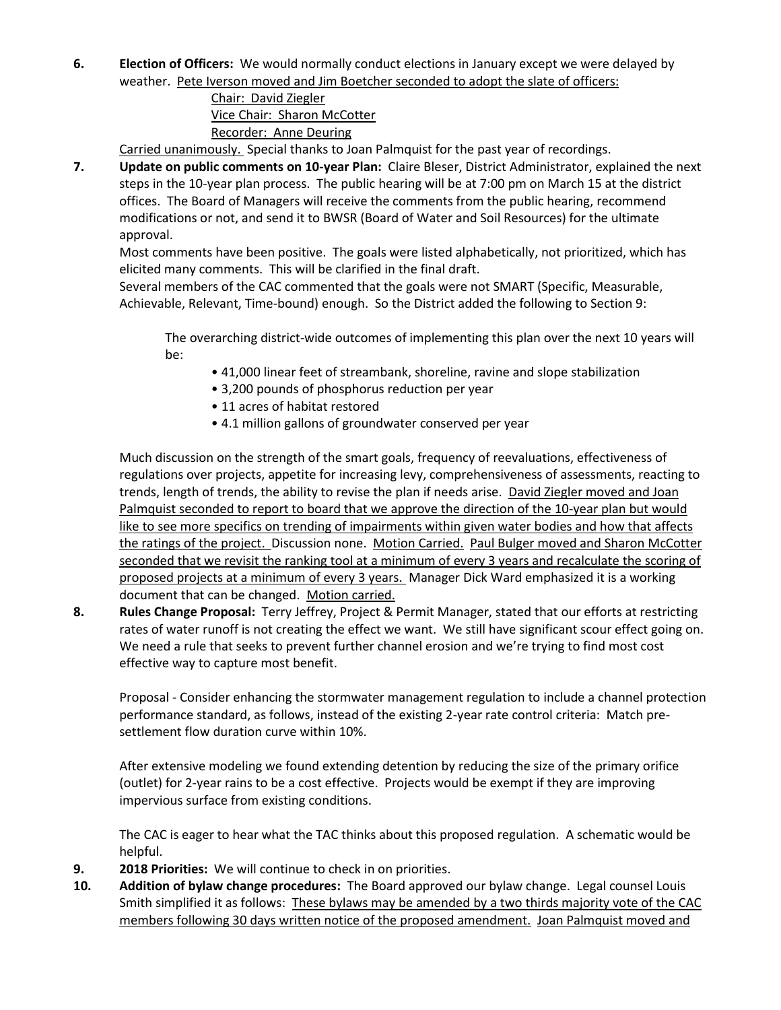**6. Election of Officers:** We would normally conduct elections in January except we were delayed by weather. Pete Iverson moved and Jim Boetcher seconded to adopt the slate of officers:

## Chair: David Ziegler Vice Chair: Sharon McCotter Recorder: Anne Deuring

Carried unanimously. Special thanks to Joan Palmquist for the past year of recordings.

**7. Update on public comments on 10-year Plan:** Claire Bleser, District Administrator, explained the next steps in the 10-year plan process. The public hearing will be at 7:00 pm on March 15 at the district offices. The Board of Managers will receive the comments from the public hearing, recommend modifications or not, and send it to BWSR (Board of Water and Soil Resources) for the ultimate approval.

Most comments have been positive. The goals were listed alphabetically, not prioritized, which has elicited many comments. This will be clarified in the final draft.

Several members of the CAC commented that the goals were not SMART (Specific, Measurable, Achievable, Relevant, Time-bound) enough. So the District added the following to Section 9:

The overarching district-wide outcomes of implementing this plan over the next 10 years will be:

- 41,000 linear feet of streambank, shoreline, ravine and slope stabilization
- 3,200 pounds of phosphorus reduction per year
- 11 acres of habitat restored
- 4.1 million gallons of groundwater conserved per year

Much discussion on the strength of the smart goals, frequency of reevaluations, effectiveness of regulations over projects, appetite for increasing levy, comprehensiveness of assessments, reacting to trends, length of trends, the ability to revise the plan if needs arise. David Ziegler moved and Joan Palmquist seconded to report to board that we approve the direction of the 10-year plan but would like to see more specifics on trending of impairments within given water bodies and how that affects the ratings of the project. Discussion none. Motion Carried. Paul Bulger moved and Sharon McCotter seconded that we revisit the ranking tool at a minimum of every 3 years and recalculate the scoring of proposed projects at a minimum of every 3 years. Manager Dick Ward emphasized it is a working document that can be changed. Motion carried.

**8. Rules Change Proposal:** Terry Jeffrey, Project & Permit Manager, stated that our efforts at restricting rates of water runoff is not creating the effect we want. We still have significant scour effect going on. We need a rule that seeks to prevent further channel erosion and we're trying to find most cost effective way to capture most benefit.

Proposal - Consider enhancing the stormwater management regulation to include a channel protection performance standard, as follows, instead of the existing 2-year rate control criteria: Match presettlement flow duration curve within 10%.

After extensive modeling we found extending detention by reducing the size of the primary orifice (outlet) for 2-year rains to be a cost effective. Projects would be exempt if they are improving impervious surface from existing conditions.

The CAC is eager to hear what the TAC thinks about this proposed regulation. A schematic would be helpful.

- **9. 2018 Priorities:** We will continue to check in on priorities.
- **10. Addition of bylaw change procedures:** The Board approved our bylaw change. Legal counsel Louis Smith simplified it as follows: These bylaws may be amended by a two thirds majority vote of the CAC members following 30 days written notice of the proposed amendment. Joan Palmquist moved and